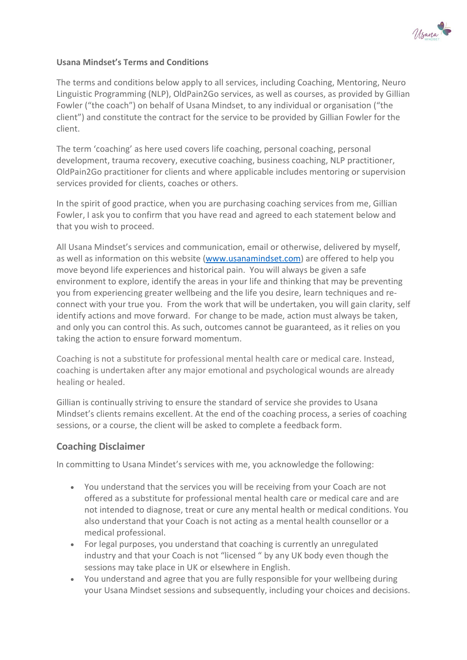

### Usana Mindset's Terms and Conditions

The terms and conditions below apply to all services, including Coaching, Mentoring, Neuro Linguistic Programming (NLP), OldPain2Go services, as well as courses, as provided by Gillian Fowler ("the coach") on behalf of Usana Mindset, to any individual or organisation ("the client") and constitute the contract for the service to be provided by Gillian Fowler for the client.

The term 'coaching' as here used covers life coaching, personal coaching, personal development, trauma recovery, executive coaching, business coaching, NLP practitioner, OldPain2Go practitioner for clients and where applicable includes mentoring or supervision services provided for clients, coaches or others.

In the spirit of good practice, when you are purchasing coaching services from me, Gillian Fowler, I ask you to confirm that you have read and agreed to each statement below and that you wish to proceed.

All Usana Mindset's services and communication, email or otherwise, delivered by myself, as well as information on this website (www.usanamindset.com) are offered to help you move beyond life experiences and historical pain. You will always be given a safe environment to explore, identify the areas in your life and thinking that may be preventing you from experiencing greater wellbeing and the life you desire, learn techniques and reconnect with your true you. From the work that will be undertaken, you will gain clarity, self identify actions and move forward. For change to be made, action must always be taken, and only you can control this. As such, outcomes cannot be guaranteed, as it relies on you taking the action to ensure forward momentum.

Coaching is not a substitute for professional mental health care or medical care. Instead, coaching is undertaken after any major emotional and psychological wounds are already healing or healed.

Gillian is continually striving to ensure the standard of service she provides to Usana Mindset's clients remains excellent. At the end of the coaching process, a series of coaching sessions, or a course, the client will be asked to complete a feedback form.

### Coaching Disclaimer

In committing to Usana Mindet's services with me, you acknowledge the following:

- You understand that the services you will be receiving from your Coach are not offered as a substitute for professional mental health care or medical care and are not intended to diagnose, treat or cure any mental health or medical conditions. You also understand that your Coach is not acting as a mental health counsellor or a medical professional.
- For legal purposes, you understand that coaching is currently an unregulated industry and that your Coach is not "licensed " by any UK body even though the sessions may take place in UK or elsewhere in English.
- You understand and agree that you are fully responsible for your wellbeing during your Usana Mindset sessions and subsequently, including your choices and decisions.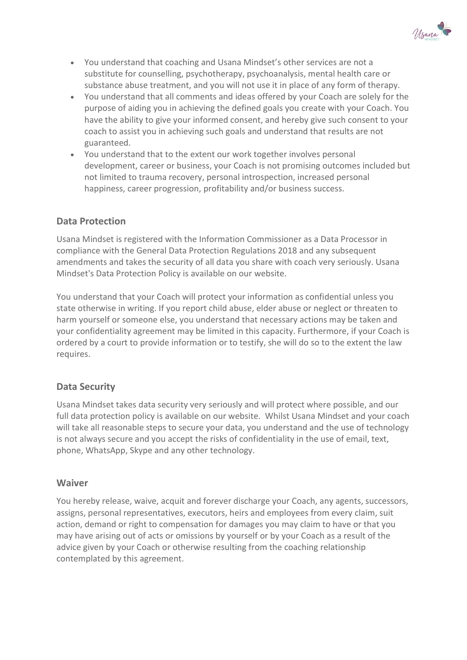

- You understand that coaching and Usana Mindset's other services are not a substitute for counselling, psychotherapy, psychoanalysis, mental health care or substance abuse treatment, and you will not use it in place of any form of therapy.
- You understand that all comments and ideas offered by your Coach are solely for the purpose of aiding you in achieving the defined goals you create with your Coach. You have the ability to give your informed consent, and hereby give such consent to your coach to assist you in achieving such goals and understand that results are not guaranteed.
- You understand that to the extent our work together involves personal development, career or business, your Coach is not promising outcomes included but not limited to trauma recovery, personal introspection, increased personal happiness, career progression, profitability and/or business success.

## Data Protection

Usana Mindset is registered with the Information Commissioner as a Data Processor in compliance with the General Data Protection Regulations 2018 and any subsequent amendments and takes the security of all data you share with coach very seriously. Usana Mindset's Data Protection Policy is available on our website.

You understand that your Coach will protect your information as confidential unless you state otherwise in writing. If you report child abuse, elder abuse or neglect or threaten to harm yourself or someone else, you understand that necessary actions may be taken and your confidentiality agreement may be limited in this capacity. Furthermore, if your Coach is ordered by a court to provide information or to testify, she will do so to the extent the law requires.

## Data Security

Usana Mindset takes data security very seriously and will protect where possible, and our full data protection policy is available on our website. Whilst Usana Mindset and your coach will take all reasonable steps to secure your data, you understand and the use of technology is not always secure and you accept the risks of confidentiality in the use of email, text, phone, WhatsApp, Skype and any other technology.

### Waiver

You hereby release, waive, acquit and forever discharge your Coach, any agents, successors, assigns, personal representatives, executors, heirs and employees from every claim, suit action, demand or right to compensation for damages you may claim to have or that you may have arising out of acts or omissions by yourself or by your Coach as a result of the advice given by your Coach or otherwise resulting from the coaching relationship contemplated by this agreement.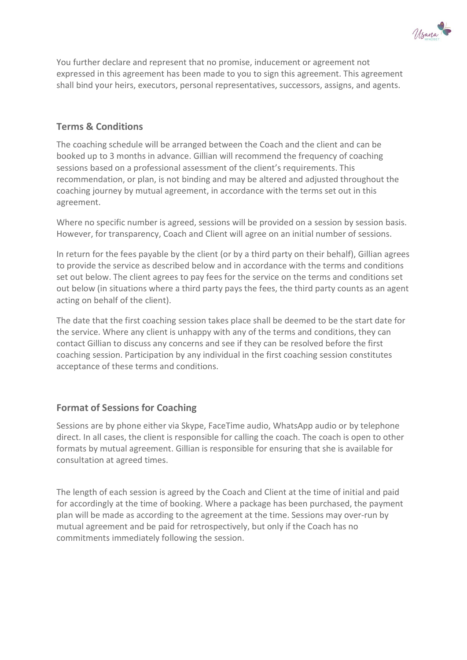

You further declare and represent that no promise, inducement or agreement not expressed in this agreement has been made to you to sign this agreement. This agreement shall bind your heirs, executors, personal representatives, successors, assigns, and agents.

## Terms & Conditions

The coaching schedule will be arranged between the Coach and the client and can be booked up to 3 months in advance. Gillian will recommend the frequency of coaching sessions based on a professional assessment of the client's requirements. This recommendation, or plan, is not binding and may be altered and adjusted throughout the coaching journey by mutual agreement, in accordance with the terms set out in this agreement.

Where no specific number is agreed, sessions will be provided on a session by session basis. However, for transparency, Coach and Client will agree on an initial number of sessions.

In return for the fees payable by the client (or by a third party on their behalf), Gillian agrees to provide the service as described below and in accordance with the terms and conditions set out below. The client agrees to pay fees for the service on the terms and conditions set out below (in situations where a third party pays the fees, the third party counts as an agent acting on behalf of the client).

The date that the first coaching session takes place shall be deemed to be the start date for the service. Where any client is unhappy with any of the terms and conditions, they can contact Gillian to discuss any concerns and see if they can be resolved before the first coaching session. Participation by any individual in the first coaching session constitutes acceptance of these terms and conditions.

## Format of Sessions for Coaching

Sessions are by phone either via Skype, FaceTime audio, WhatsApp audio or by telephone direct. In all cases, the client is responsible for calling the coach. The coach is open to other formats by mutual agreement. Gillian is responsible for ensuring that she is available for consultation at agreed times.

The length of each session is agreed by the Coach and Client at the time of initial and paid for accordingly at the time of booking. Where a package has been purchased, the payment plan will be made as according to the agreement at the time. Sessions may over-run by mutual agreement and be paid for retrospectively, but only if the Coach has no commitments immediately following the session.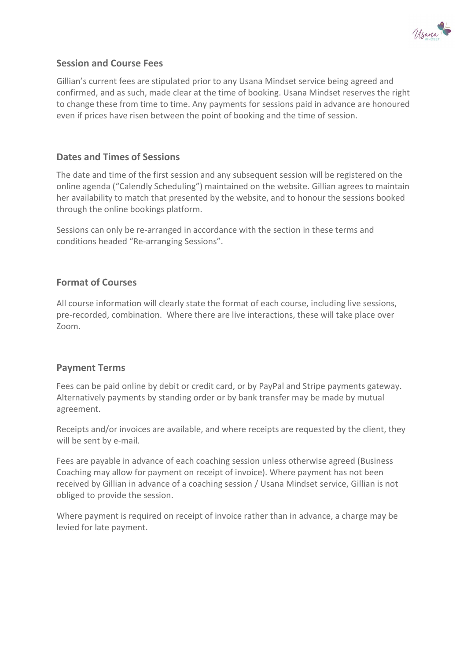

## Session and Course Fees

Gillian's current fees are stipulated prior to any Usana Mindset service being agreed and confirmed, and as such, made clear at the time of booking. Usana Mindset reserves the right to change these from time to time. Any payments for sessions paid in advance are honoured even if prices have risen between the point of booking and the time of session.

## Dates and Times of Sessions

The date and time of the first session and any subsequent session will be registered on the online agenda ("Calendly Scheduling") maintained on the website. Gillian agrees to maintain her availability to match that presented by the website, and to honour the sessions booked through the online bookings platform.

Sessions can only be re-arranged in accordance with the section in these terms and conditions headed "Re-arranging Sessions".

## Format of Courses

All course information will clearly state the format of each course, including live sessions, pre-recorded, combination. Where there are live interactions, these will take place over Zoom.

### Payment Terms

Fees can be paid online by debit or credit card, or by PayPal and Stripe payments gateway. Alternatively payments by standing order or by bank transfer may be made by mutual agreement.

Receipts and/or invoices are available, and where receipts are requested by the client, they will be sent by e-mail.

Fees are payable in advance of each coaching session unless otherwise agreed (Business Coaching may allow for payment on receipt of invoice). Where payment has not been received by Gillian in advance of a coaching session / Usana Mindset service, Gillian is not obliged to provide the session.

Where payment is required on receipt of invoice rather than in advance, a charge may be levied for late payment.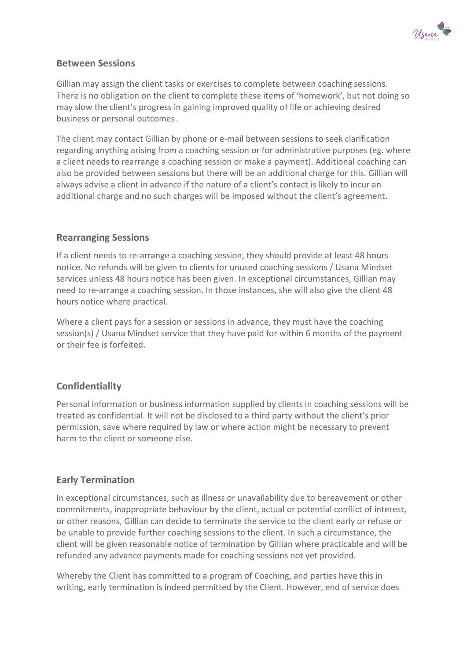

## Between Sessions

Gillian may assign the client tasks or exercises to complete between coaching sessions. There is no obligation on the client to complete these items of 'homework', but not doing so may slow the client's progress in gaining improved quality of life or achieving desired business or personal outcomes.

The client may contact Gillian by phone or e-mail between sessions to seek clarification regarding anything arising from a coaching session or for administrative purposes (eg. where a client needs to rearrange a coaching session or make a payment). Additional coaching can also be provided between sessions but there will be an additional charge for this. Gillian will always advise a client in advance if the nature of a client's contact is likely to incur an additional charge and no such charges will be imposed without the client's agreement.

## Rearranging Sessions

If a client needs to re-arrange a coaching session, they should provide at least 48 hours notice. No refunds will be given to clients for unused coaching sessions / Usana Mindset services unless 48 hours notice has been given. In exceptional circumstances, Gillian may need to re-arrange a coaching session. In those instances, she will also give the client 48 hours notice where practical.

Where a client pays for a session or sessions in advance, they must have the coaching session(s) / Usana Mindset service that they have paid for within 6 months of the payment or their fee is forfeited.

## Confidentiality

Personal information or business information supplied by clients in coaching sessions will be treated as confidential. It will not be disclosed to a third party without the client's prior permission, save where required by law or where action might be necessary to prevent harm to the client or someone else.

## Early Termination

In exceptional circumstances, such as illness or unavailability due to bereavement or other commitments, inappropriate behaviour by the client, actual or potential conflict of interest, or other reasons, Gillian can decide to terminate the service to the client early or refuse or be unable to provide further coaching sessions to the client. In such a circumstance, the client will be given reasonable notice of termination by Gillian where practicable and will be refunded any advance payments made for coaching sessions not yet provided.

Whereby the Client has committed to a program of Coaching, and parties have this in writing, early termination is indeed permitted by the Client. However, end of service does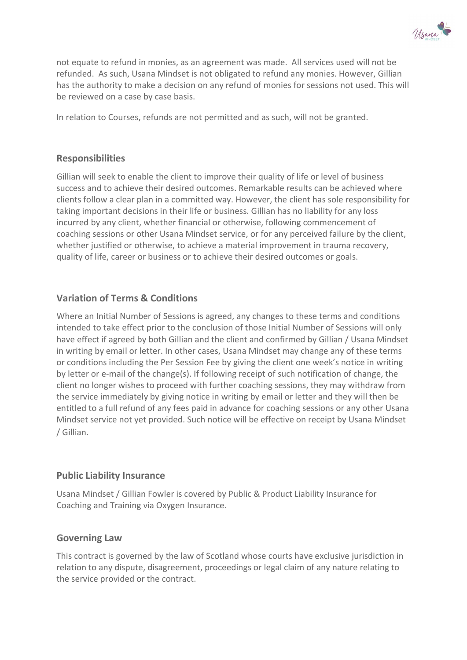

not equate to refund in monies, as an agreement was made. All services used will not be refunded. As such, Usana Mindset is not obligated to refund any monies. However, Gillian has the authority to make a decision on any refund of monies for sessions not used. This will be reviewed on a case by case basis.

In relation to Courses, refunds are not permitted and as such, will not be granted.

## Responsibilities

Gillian will seek to enable the client to improve their quality of life or level of business success and to achieve their desired outcomes. Remarkable results can be achieved where clients follow a clear plan in a committed way. However, the client has sole responsibility for taking important decisions in their life or business. Gillian has no liability for any loss incurred by any client, whether financial or otherwise, following commencement of coaching sessions or other Usana Mindset service, or for any perceived failure by the client, whether justified or otherwise, to achieve a material improvement in trauma recovery, quality of life, career or business or to achieve their desired outcomes or goals.

## Variation of Terms & Conditions

Where an Initial Number of Sessions is agreed, any changes to these terms and conditions intended to take effect prior to the conclusion of those Initial Number of Sessions will only have effect if agreed by both Gillian and the client and confirmed by Gillian / Usana Mindset in writing by email or letter. In other cases, Usana Mindset may change any of these terms or conditions including the Per Session Fee by giving the client one week's notice in writing by letter or e-mail of the change(s). If following receipt of such notification of change, the client no longer wishes to proceed with further coaching sessions, they may withdraw from the service immediately by giving notice in writing by email or letter and they will then be entitled to a full refund of any fees paid in advance for coaching sessions or any other Usana Mindset service not yet provided. Such notice will be effective on receipt by Usana Mindset / Gillian.

### Public Liability Insurance

Usana Mindset / Gillian Fowler is covered by Public & Product Liability Insurance for Coaching and Training via Oxygen Insurance.

### Governing Law

This contract is governed by the law of Scotland whose courts have exclusive jurisdiction in relation to any dispute, disagreement, proceedings or legal claim of any nature relating to the service provided or the contract.